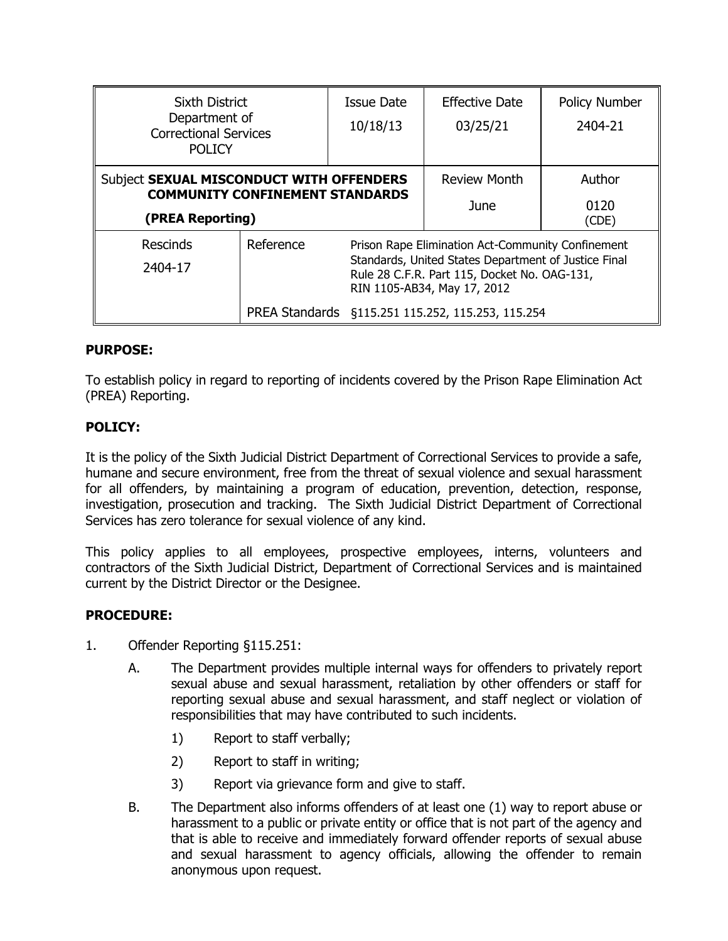| <b>Sixth District</b>                                                              |                                                                | <b>Issue Date</b>                                                                                                                                                                        | <b>Effective Date</b> | Policy Number |
|------------------------------------------------------------------------------------|----------------------------------------------------------------|------------------------------------------------------------------------------------------------------------------------------------------------------------------------------------------|-----------------------|---------------|
| Department of<br><b>Correctional Services</b>                                      |                                                                | 10/18/13                                                                                                                                                                                 | 03/25/21              | 2404-21       |
| <b>POLICY</b>                                                                      |                                                                |                                                                                                                                                                                          |                       |               |
| Subject SEXUAL MISCONDUCT WITH OFFENDERS<br><b>COMMUNITY CONFINEMENT STANDARDS</b> |                                                                |                                                                                                                                                                                          | <b>Review Month</b>   | Author        |
|                                                                                    |                                                                |                                                                                                                                                                                          | June                  | 0120          |
| (PREA Reporting)                                                                   |                                                                |                                                                                                                                                                                          |                       | (ODE)         |
| Rescinds                                                                           | Reference<br>Prison Rape Elimination Act-Community Confinement |                                                                                                                                                                                          |                       |               |
| 2404-17                                                                            |                                                                | Standards, United States Department of Justice Final<br>Rule 28 C.F.R. Part 115, Docket No. OAG-131,<br>RIN 1105-AB34, May 17, 2012<br>PREA Standards §115.251 115.252, 115.253, 115.254 |                       |               |
|                                                                                    |                                                                |                                                                                                                                                                                          |                       |               |
|                                                                                    |                                                                |                                                                                                                                                                                          |                       |               |

# **PURPOSE:**

To establish policy in regard to reporting of incidents covered by the Prison Rape Elimination Act (PREA) Reporting.

# **POLICY:**

It is the policy of the Sixth Judicial District Department of Correctional Services to provide a safe, humane and secure environment, free from the threat of sexual violence and sexual harassment for all offenders, by maintaining a program of education, prevention, detection, response, investigation, prosecution and tracking. The Sixth Judicial District Department of Correctional Services has zero tolerance for sexual violence of any kind.

This policy applies to all employees, prospective employees, interns, volunteers and contractors of the Sixth Judicial District, Department of Correctional Services and is maintained current by the District Director or the Designee.

# **PROCEDURE:**

- 1. Offender Reporting §115.251:
	- A. The Department provides multiple internal ways for offenders to privately report sexual abuse and sexual harassment, retaliation by other offenders or staff for reporting sexual abuse and sexual harassment, and staff neglect or violation of responsibilities that may have contributed to such incidents.
		- 1) Report to staff verbally;
		- 2) Report to staff in writing;
		- 3) Report via grievance form and give to staff.
	- B. The Department also informs offenders of at least one (1) way to report abuse or harassment to a public or private entity or office that is not part of the agency and that is able to receive and immediately forward offender reports of sexual abuse and sexual harassment to agency officials, allowing the offender to remain anonymous upon request.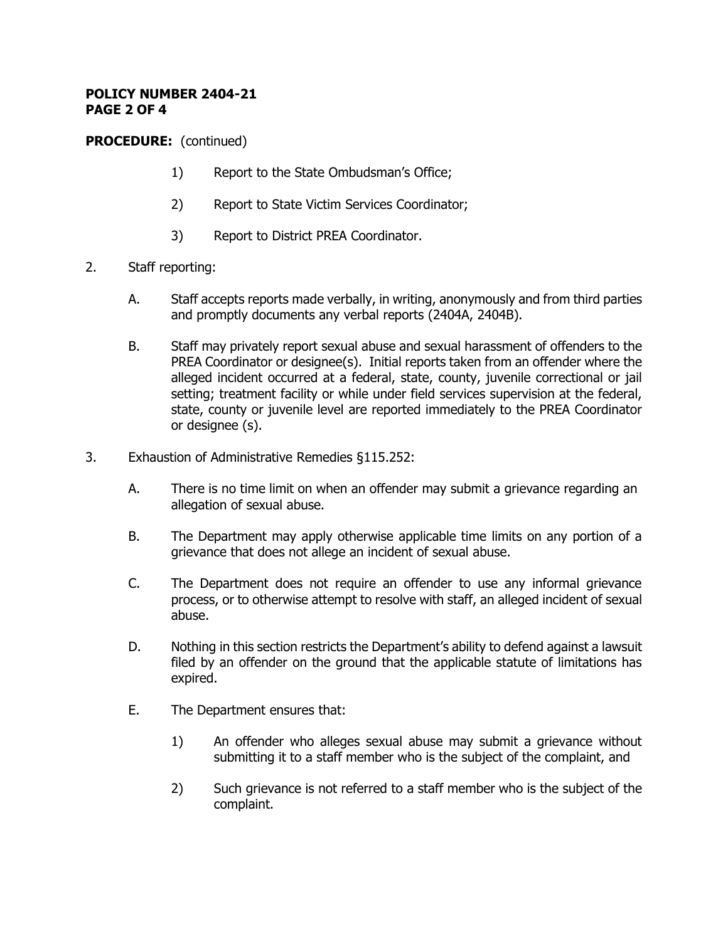### **POLICY NUMBER 2404-21 PAGE 2 OF 4**

**PROCEDURE:** (continued)

- 1) Report to the State Ombudsman's Office;
- 2) Report to State Victim Services Coordinator;
- 3) Report to District PREA Coordinator.
- 2. Staff reporting:
	- A. Staff accepts reports made verbally, in writing, anonymously and from third parties and promptly documents any verbal reports (2404A, 2404B).
	- B. Staff may privately report sexual abuse and sexual harassment of offenders to the PREA Coordinator or designee(s). Initial reports taken from an offender where the alleged incident occurred at a federal, state, county, juvenile correctional or jail setting; treatment facility or while under field services supervision at the federal, state, county or juvenile level are reported immediately to the PREA Coordinator or designee (s).
- 3. Exhaustion of Administrative Remedies §115.252:
	- A. There is no time limit on when an offender may submit a grievance regarding an allegation of sexual abuse.
	- B. The Department may apply otherwise applicable time limits on any portion of a grievance that does not allege an incident of sexual abuse.
	- C. The Department does not require an offender to use any informal grievance process, or to otherwise attempt to resolve with staff, an alleged incident of sexual abuse.
	- D. Nothing in this section restricts the Department's ability to defend against a lawsuit filed by an offender on the ground that the applicable statute of limitations has expired.
	- E. The Department ensures that:
		- 1) An offender who alleges sexual abuse may submit a grievance without submitting it to a staff member who is the subject of the complaint, and
		- 2) Such grievance is not referred to a staff member who is the subject of the complaint.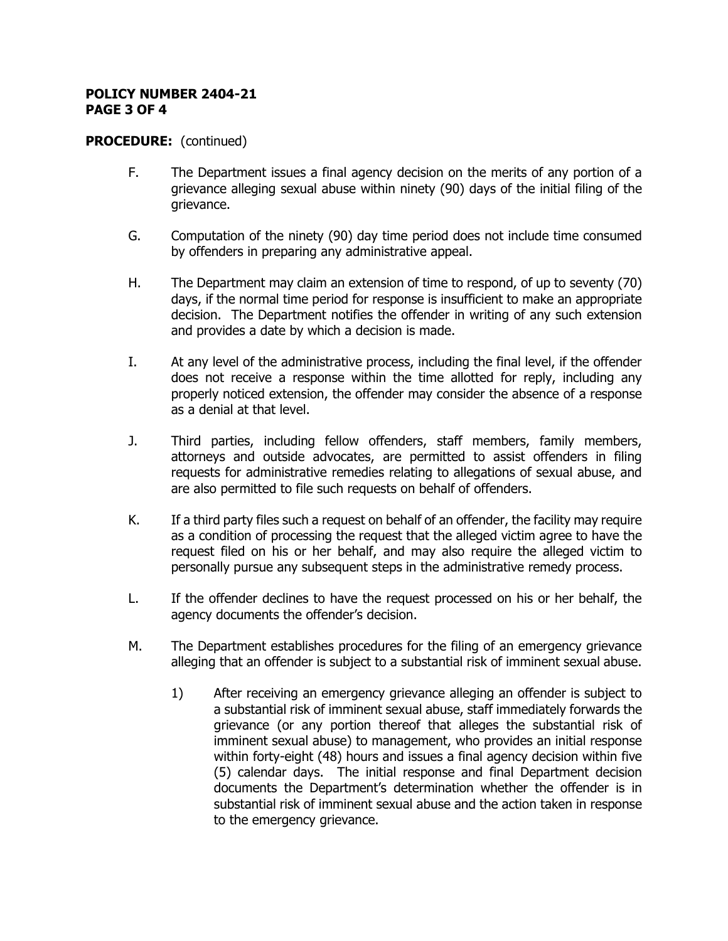#### **POLICY NUMBER 2404-21 PAGE 3 OF 4**

### **PROCEDURE:** (continued)

- F. The Department issues a final agency decision on the merits of any portion of a grievance alleging sexual abuse within ninety (90) days of the initial filing of the grievance.
- G. Computation of the ninety (90) day time period does not include time consumed by offenders in preparing any administrative appeal.
- H. The Department may claim an extension of time to respond, of up to seventy (70) days, if the normal time period for response is insufficient to make an appropriate decision. The Department notifies the offender in writing of any such extension and provides a date by which a decision is made.
- I. At any level of the administrative process, including the final level, if the offender does not receive a response within the time allotted for reply, including any properly noticed extension, the offender may consider the absence of a response as a denial at that level.
- J. Third parties, including fellow offenders, staff members, family members, attorneys and outside advocates, are permitted to assist offenders in filing requests for administrative remedies relating to allegations of sexual abuse, and are also permitted to file such requests on behalf of offenders.
- K. If a third party files such a request on behalf of an offender, the facility may require as a condition of processing the request that the alleged victim agree to have the request filed on his or her behalf, and may also require the alleged victim to personally pursue any subsequent steps in the administrative remedy process.
- L. If the offender declines to have the request processed on his or her behalf, the agency documents the offender's decision.
- M. The Department establishes procedures for the filing of an emergency grievance alleging that an offender is subject to a substantial risk of imminent sexual abuse.
	- 1) After receiving an emergency grievance alleging an offender is subject to a substantial risk of imminent sexual abuse, staff immediately forwards the grievance (or any portion thereof that alleges the substantial risk of imminent sexual abuse) to management, who provides an initial response within forty-eight (48) hours and issues a final agency decision within five (5) calendar days. The initial response and final Department decision documents the Department's determination whether the offender is in substantial risk of imminent sexual abuse and the action taken in response to the emergency grievance.